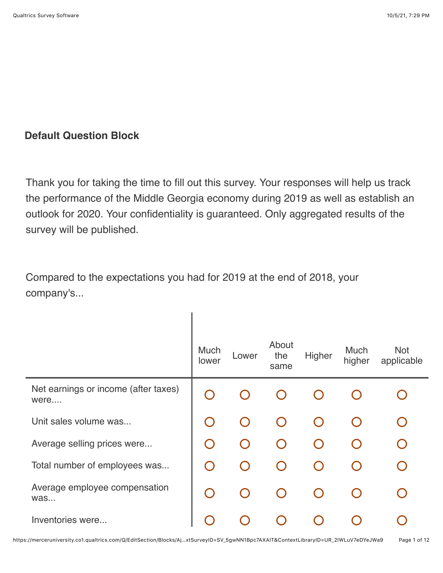## **Default Question Block**

Thank you for taking the time to fill out this survey. Your responses will help us track the performance of the Middle Georgia economy during 2019 as well as establish an outlook for 2020. Your confidentiality is guaranteed. Only aggregated results of the survey will be published.

Compared to the expectations you had for 2019 at the end of 2018, your company's...

|                                              | Much<br>lower                                 | Lower                                         | About<br>the<br>same | Higher | Much<br>higher | <b>Not</b><br>applicable |
|----------------------------------------------|-----------------------------------------------|-----------------------------------------------|----------------------|--------|----------------|--------------------------|
| Net earnings or income (after taxes)<br>were | $\left( \begin{array}{c} \end{array} \right)$ |                                               |                      |        |                |                          |
| Unit sales volume was                        | $\bigcap$                                     | $\hspace{0.1in} \Box$                         |                      |        |                |                          |
| Average selling prices were                  | $\bigcap$                                     | $\bigcirc$                                    |                      |        |                | $\bigcap$                |
| Total number of employees was                | $\left( \begin{array}{c} \end{array} \right)$ | $\left( \begin{array}{c} \end{array} \right)$ |                      |        |                |                          |
| Average employee compensation<br>was         | $\bigcap$                                     | $\left( \begin{array}{c} \end{array} \right)$ |                      |        |                |                          |
| Inventories were                             |                                               |                                               |                      |        |                |                          |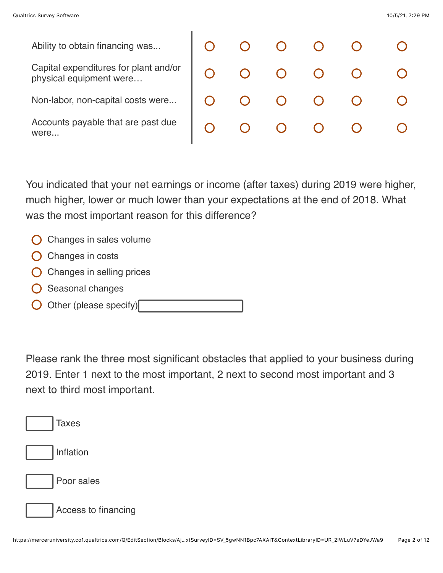were...

Ability to obtain financing was... Capital expenditures for plant and/or physical equipment were… Non-labor, non-capital costs were... Accounts payable that are past due

 $\bigcirc$  $\left( \ \right)$  $\bigcap$  $\bigcap$  $\left(\begin{array}{c} 1 \end{array}\right)$ 

You indicated that your net earnings or income (after taxes) during 2019 were higher, much higher, lower or much lower than your expectations at the end of 2018. What was the most important reason for this difference?

- $\bigcirc$  Changes in sales volume
- $\bigcirc$  Changes in costs
- $\bigcirc$  Changes in selling prices
- $\bigcirc$  Seasonal changes
- $\bigcirc$  Other (please specify)

Please rank the three most significant obstacles that applied to your business during 2019. Enter 1 next to the most important, 2 next to second most important and 3 next to third most important.

| <b>Taxes</b>        |
|---------------------|
| Inflation           |
| Poor sales          |
| Access to financing |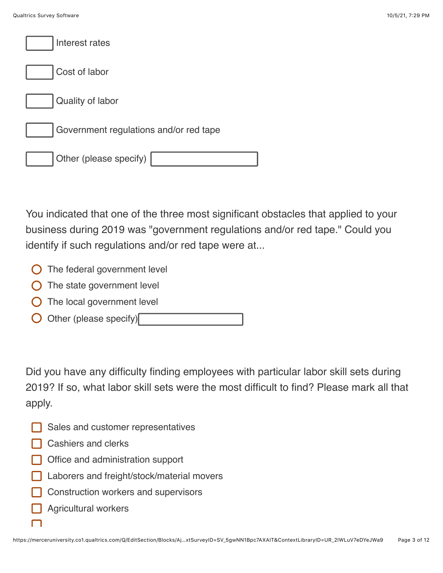| Interest rates                         |
|----------------------------------------|
| Cost of labor                          |
| Quality of labor                       |
| Government regulations and/or red tape |
| Other (please specify)                 |

You indicated that one of the three most significant obstacles that applied to your business during 2019 was "government regulations and/or red tape." Could you identify if such regulations and/or red tape were at...

- **O** The federal government level
- $\bigcirc$  The state government level
- $\bigcirc$  The local government level
- Other (please specify)

Did you have any difficulty finding employees with particular labor skill sets during 2019? If so, what labor skill sets were the most difficult to find? Please mark all that apply.

- Sales and customer representatives
- **□ Cashiers and clerks**
- **Office and administration support**
- Laborers and freight/stock/material movers
- Construction workers and supervisors
- Agricultural workers

 $\Box$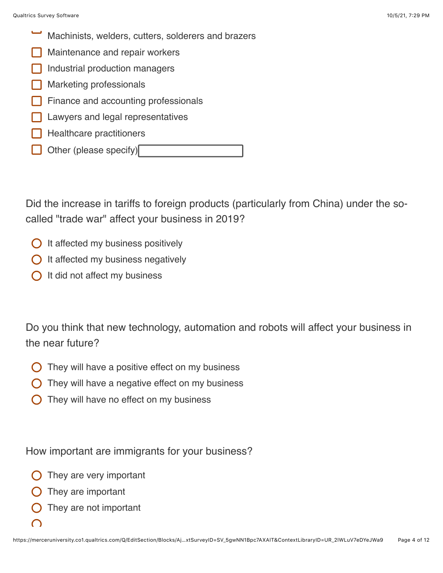- Machinists, welders, cutters, solderers and brazers
- Maintenance and repair workers
- Industrial production managers
- Marketing professionals
- Finance and accounting professionals
- Lawyers and legal representatives
- Healthcare practitioners
- Other (please specify)

Did the increase in tariffs to foreign products (particularly from China) under the socalled "trade war" affect your business in 2019?

- $\bigcirc$  It affected my business positively
- $\bigcirc$  It affected my business negatively
- $\bigcap$  It did not affect my business

Do you think that new technology, automation and robots will affect your business in the near future?

- They will have a positive effect on my business
- They will have a negative effect on my business
- They will have no effect on my business

How important are immigrants for your business?

- They are very important
- They are important
- They are not important
- $\subset$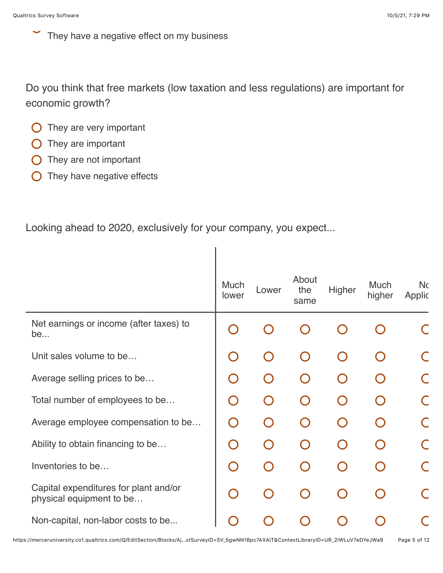They have a negative effect on my business

Do you think that free markets (low taxation and less regulations) are important for economic growth?

I

- $\bigcirc$  They are very important
- $\bigcirc$  They are important
- **O** They are not important
- $\bigcirc$  They have negative effects

Looking ahead to 2020, exclusively for your company, you expect...

|                                                                   | <b>Much</b><br>lower                   | Lower | About<br>the<br>same | Higher    | <b>Much</b><br>higher | <b>Nc</b><br>Applic |
|-------------------------------------------------------------------|----------------------------------------|-------|----------------------|-----------|-----------------------|---------------------|
| Net earnings or income (after taxes) to<br>be                     |                                        |       |                      |           |                       |                     |
| Unit sales volume to be                                           | $\begin{pmatrix} 1 \\ 1 \end{pmatrix}$ |       |                      | $\bigcap$ |                       |                     |
| Average selling prices to be                                      | $\bigcap$                              |       |                      |           |                       |                     |
| Total number of employees to be                                   | $\bigcap$                              |       |                      | $\bigcap$ |                       |                     |
| Average employee compensation to be                               | $\bigcap$                              |       |                      | $\bigcap$ |                       |                     |
| Ability to obtain financing to be                                 | $\bigcap$                              |       |                      | $\bigcap$ |                       |                     |
| Inventories to be                                                 | $\bigcap$                              |       |                      | $\Box$    |                       |                     |
| Capital expenditures for plant and/or<br>physical equipment to be | O                                      |       |                      | $\cap$    |                       |                     |
| Non-capital, non-labor costs to be                                |                                        |       |                      |           |                       |                     |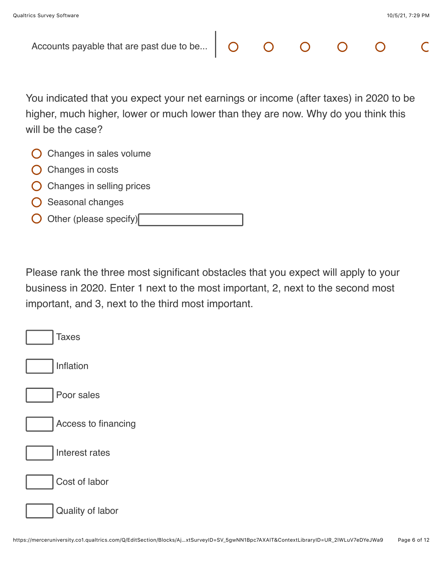| Accounts payable that are past due to be                                                                                                                                                        |  |  |  |
|-------------------------------------------------------------------------------------------------------------------------------------------------------------------------------------------------|--|--|--|
|                                                                                                                                                                                                 |  |  |  |
| You indicated that you expect your net earnings or income (after taxes) in 2020 to be<br>higher, much higher, lower or much lower than they are now. Why do you think this<br>will be the case? |  |  |  |
| Changes in sales volume                                                                                                                                                                         |  |  |  |
| Changes in costs                                                                                                                                                                                |  |  |  |
| Changes in selling prices                                                                                                                                                                       |  |  |  |
| Seasonal changes                                                                                                                                                                                |  |  |  |
| Other (please specify)                                                                                                                                                                          |  |  |  |

Please rank the three most significant obstacles that you expect will apply to your business in 2020. Enter 1 next to the most important, 2, next to the second most important, and 3, next to the third most important.

| <b>Taxes</b>        |
|---------------------|
| Inflation           |
| Poor sales          |
| Access to financing |
| Interest rates      |
| Cost of labor       |
| Quality of labor    |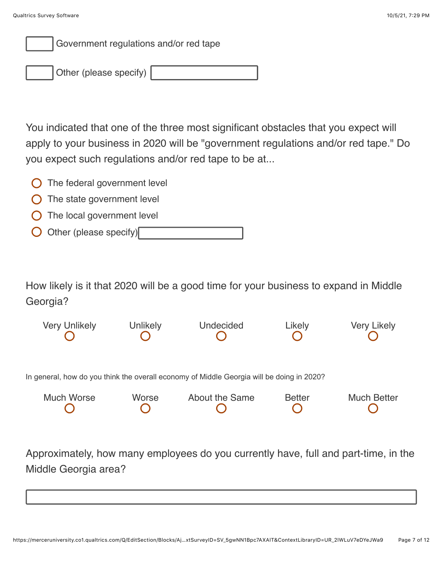Government regulations and/or red tape

Other (please specify)

You indicated that one of the three most significant obstacles that you expect will apply to your business in 2020 will be "government regulations and/or red tape." Do you expect such regulations and/or red tape to be at...

- The federal government level
- $\bigcirc$  The state government level
- The local government level
- Other (please specify)

How likely is it that 2020 will be a good time for your business to expand in Middle Georgia?



Approximately, how many employees do you currently have, full and part-time, in the Middle Georgia area?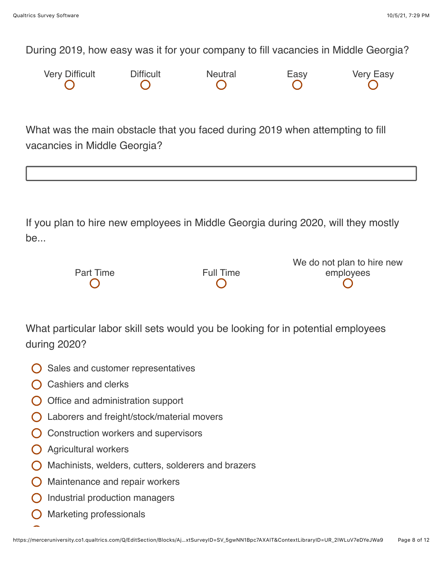During 2019, how easy was it for your company to fill vacancies in Middle Georgia?



What was the main obstacle that you faced during 2019 when attempting to fill vacancies in Middle Georgia?

If you plan to hire new employees in Middle Georgia during 2020, will they mostly be...

|                  |           | We do not plan to hire new |
|------------------|-----------|----------------------------|
| <b>Part Time</b> | Full Time | employees                  |
|                  |           |                            |

What particular labor skill sets would you be looking for in potential employees during 2020?

- Sales and customer representatives
- Cashiers and clerks
- $\bigcirc$  Office and administration support
- Laborers and freight/stock/material movers
- Construction workers and supervisors
- Agricultural workers
- $\bigcap$  Machinists, welders, cutters, solderers and brazers
- **O** Maintenance and repair workers
- Industrial production managers
- Marketing professionals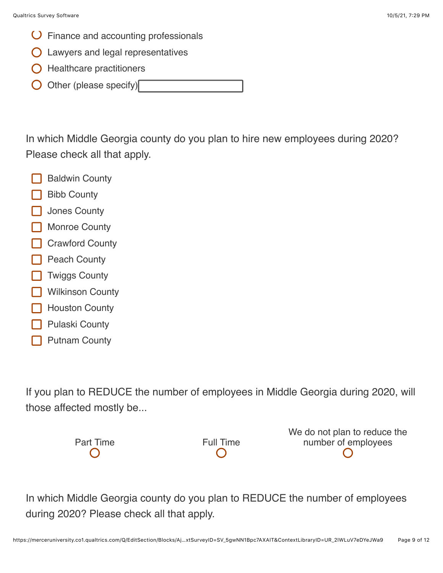- Finance and accounting professionals
- Lawyers and legal representatives
- $\bigcirc$  Healthcare practitioners
- Other (please specify)

In which Middle Georgia county do you plan to hire new employees during 2020? Please check all that apply.

- Baldwin County
- Bibb County
- Jones County
- Monroe County
- Crawford County
- **Peach County**
- Twiggs County
- Wilkinson County
- Houston County
- Pulaski County
- Putnam County

If you plan to REDUCE the number of employees in Middle Georgia during 2020, will those affected mostly be...



We do not plan to reduce the number of employees

In which Middle Georgia county do you plan to REDUCE the number of employees during 2020? Please check all that apply.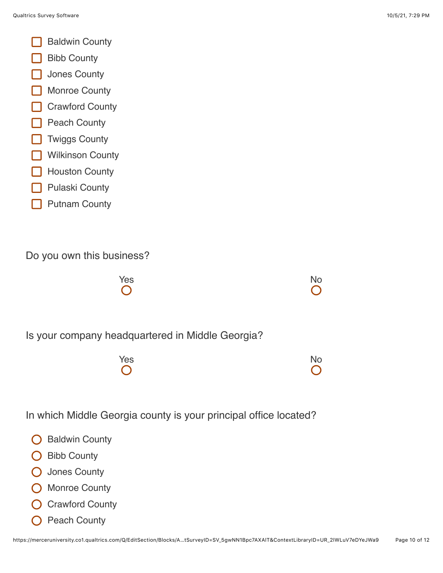- Baldwin County
- Bibb County
- Jones County
- Monroe County
- Crawford County
- Peach County
- Twiggs County
- Wilkinson County
- Houston County
- Pulaski County
- Putnam County

Do you own this business?



Is your company headquartered in Middle Georgia?



In which Middle Georgia county is your principal office located?

- **O** Baldwin County
- Bibb County  $\left( \begin{array}{c} \end{array} \right)$
- O Jones County
- **O** Monroe County
- **O** Crawford County
- Peach County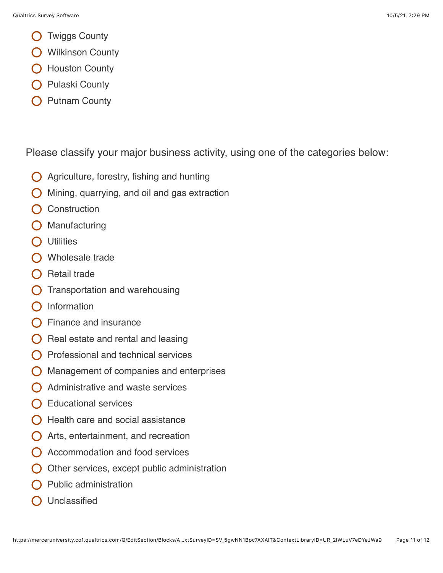- Twiggs County
- **O** Wilkinson County
- O Houston County
- **O** Pulaski County
- Putnam County

Please classify your major business activity, using one of the categories below:

- Agriculture, forestry, fishing and hunting  $\bigcap$
- Mining, quarrying, and oil and gas extraction
- **Construction**
- Manufacturing
- **Utilities**
- O Wholesale trade
- $\bigcap$  Retail trade
- $\bigcirc$  Transportation and warehousing
- $\bigcap$  Information
- $\bigcap$  Finance and insurance
- Real estate and rental and leasing
- Professional and technical services
- Management of companies and enterprises
- Administrative and waste services
- Educational services
- $\bigcap$  Health care and social assistance
- $\bigcirc$  Arts, entertainment, and recreation
- Accommodation and food services
- Other services, except public administration
- Public administration
- Unclassified